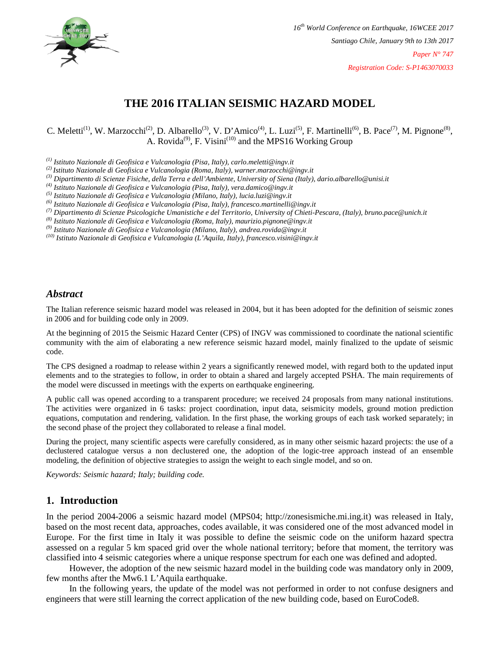

# **THE 2016 ITALIAN SEISMIC HAZARD MODEL**

C. Meletti<sup>(1)</sup>, W. Marzocchi<sup>(2)</sup>, D. Albarello<sup>(3)</sup>, V. D'Amico<sup>(4)</sup>, L. Luzi<sup>(5)</sup>, F. Martinelli<sup>(6)</sup>, B. Pace<sup>(7)</sup>, M. Pignone<sup>(8)</sup>, A. Rovida<sup>(9)</sup>, F. Visini<sup>(10)</sup> and the MPS16 Working Group

*(1) Istituto Nazionale di Geofisica e Vulcanologia (Pisa, Italy), carlo.meletti@ingv.it*

*(2) Istituto Nazionale di Geofisica e Vulcanologia (Roma, Italy), warner.marzocchi@ingv.it*

*(3) Dipartimento di Scienze Fisiche, della Terra e dell'Ambiente, University of Siena (Italy), dario.albarello@unisi.it*

*(4) Istituto Nazionale di Geofisica e Vulcanologia (Pisa, Italy), vera.damico@ingv.it*

*(5) Istituto Nazionale di Geofisica e Vulcanologia (Milano, Italy), lucia.luzi@ingv.it*

*(6) Istituto Nazionale di Geofisica e Vulcanologia (Pisa, Italy), francesco.martinelli@ingv.it*

*(7) Dipartimento di Scienze Psicologiche Umanistiche e del Territorio, University of Chieti-Pescara, (Italy), bruno.pace@unich.it*

*(8) Istituto Nazionale di Geofisica e Vulcanologia (Roma, Italy), maurizio.pignone@ingv.it*

*(9) Istituto Nazionale di Geofisica e Vulcanologia (Milano, Italy), andrea.rovida@ingv.it*

*(10) Istituto Nazionale di Geofisica e Vulcanologia (L'Aquila, Italy), francesco.visini@ingv.it*

### *Abstract*

The Italian reference seismic hazard model was released in 2004, but it has been adopted for the definition of seismic zones in 2006 and for building code only in 2009.

At the beginning of 2015 the Seismic Hazard Center (CPS) of INGV was commissioned to coordinate the national scientific community with the aim of elaborating a new reference seismic hazard model, mainly finalized to the update of seismic code.

The CPS designed a roadmap to release within 2 years a significantly renewed model, with regard both to the updated input elements and to the strategies to follow, in order to obtain a shared and largely accepted PSHA. The main requirements of the model were discussed in meetings with the experts on earthquake engineering.

A public call was opened according to a transparent procedure; we received 24 proposals from many national institutions. The activities were organized in 6 tasks: project coordination, input data, seismicity models, ground motion prediction equations, computation and rendering, validation. In the first phase, the working groups of each task worked separately; in the second phase of the project they collaborated to release a final model.

During the project, many scientific aspects were carefully considered, as in many other seismic hazard projects: the use of a declustered catalogue versus a non declustered one, the adoption of the logic-tree approach instead of an ensemble modeling, the definition of objective strategies to assign the weight to each single model, and so on.

*Keywords: Seismic hazard; Italy; building code.*

### **1. Introduction**

In the period 2004-2006 a seismic hazard model (MPS04; http://zonesismiche.mi.ing.it) was released in Italy, based on the most recent data, approaches, codes available, it was considered one of the most advanced model in Europe. For the first time in Italy it was possible to define the seismic code on the uniform hazard spectra assessed on a regular 5 km spaced grid over the whole national territory; before that moment, the territory was classified into 4 seismic categories where a unique response spectrum for each one was defined and adopted.

However, the adoption of the new seismic hazard model in the building code was mandatory only in 2009, few months after the Mw6.1 L'Aquila earthquake.

In the following years, the update of the model was not performed in order to not confuse designers and engineers that were still learning the correct application of the new building code, based on EuroCode8.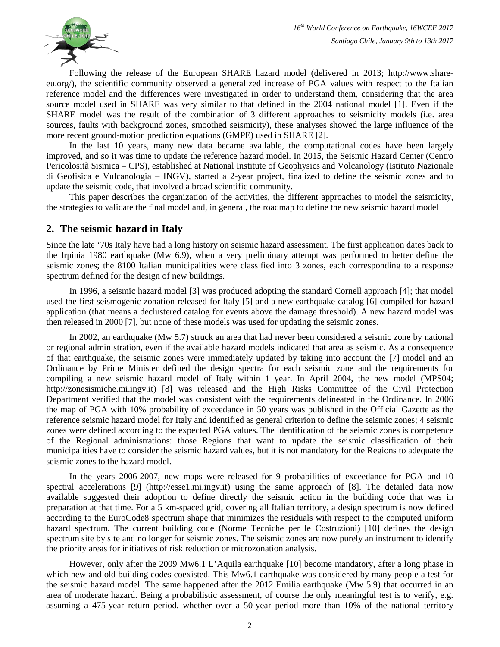

Following the release of the European SHARE hazard model (delivered in 2013; http://www.shareeu.org/), the scientific community observed a generalized increase of PGA values with respect to the Italian reference model and the differences were investigated in order to understand them, considering that the area source model used in SHARE was very similar to that defined in the 2004 national model [1]. Even if the SHARE model was the result of the combination of 3 different approaches to seismicity models (i.e. area sources, faults with background zones, smoothed seismicity), these analyses showed the large influence of the more recent ground-motion prediction equations (GMPE) used in SHARE [2].

In the last 10 years, many new data became available, the computational codes have been largely improved, and so it was time to update the reference hazard model. In 2015, the Seismic Hazard Center (Centro Pericolosità Sismica – CPS), established at National Institute of Geophysics and Volcanology (Istituto Nazionale di Geofisica e Vulcanologia – INGV), started a 2-year project, finalized to define the seismic zones and to update the seismic code, that involved a broad scientific community.

This paper describes the organization of the activities, the different approaches to model the seismicity, the strategies to validate the final model and, in general, the roadmap to define the new seismic hazard model

### **2. The seismic hazard in Italy**

Since the late '70s Italy have had a long history on seismic hazard assessment. The first application dates back to the Irpinia 1980 earthquake (Mw 6.9), when a very preliminary attempt was performed to better define the seismic zones; the 8100 Italian municipalities were classified into 3 zones, each corresponding to a response spectrum defined for the design of new buildings.

In 1996, a seismic hazard model [3] was produced adopting the standard Cornell approach [4]; that model used the first seismogenic zonation released for Italy [5] and a new earthquake catalog [6] compiled for hazard application (that means a declustered catalog for events above the damage threshold). A new hazard model was then released in 2000 [7], but none of these models was used for updating the seismic zones.

In 2002, an earthquake (Mw 5.7) struck an area that had never been considered a seismic zone by national or regional administration, even if the available hazard models indicated that area as seismic. As a consequence of that earthquake, the seismic zones were immediately updated by taking into account the [7] model and an Ordinance by Prime Minister defined the design spectra for each seismic zone and the requirements for compiling a new seismic hazard model of Italy within 1 year. In April 2004, the new model (MPS04; http://zonesismiche.mi.ingv.it) [8] was released and the High Risks Committee of the Civil Protection Department verified that the model was consistent with the requirements delineated in the Ordinance. In 2006 the map of PGA with 10% probability of exceedance in 50 years was published in the Official Gazette as the reference seismic hazard model for Italy and identified as general criterion to define the seismic zones; 4 seismic zones were defined according to the expected PGA values. The identification of the seismic zones is competence of the Regional administrations: those Regions that want to update the seismic classification of their municipalities have to consider the seismic hazard values, but it is not mandatory for the Regions to adequate the seismic zones to the hazard model.

In the years 2006-2007, new maps were released for 9 probabilities of exceedance for PGA and 10 spectral accelerations [9] (http://esse1.mi.ingv.it) using the same approach of [8]. The detailed data now available suggested their adoption to define directly the seismic action in the building code that was in preparation at that time. For a 5 km-spaced grid, covering all Italian territory, a design spectrum is now defined according to the EuroCode8 spectrum shape that minimizes the residuals with respect to the computed uniform hazard spectrum. The current building code (Norme Tecniche per le Costruzioni) [10] defines the design spectrum site by site and no longer for seismic zones. The seismic zones are now purely an instrument to identify the priority areas for initiatives of risk reduction or microzonation analysis.

However, only after the 2009 Mw6.1 L'Aquila earthquake [10] become mandatory, after a long phase in which new and old building codes coexisted. This Mw6.1 earthquake was considered by many people a test for the seismic hazard model. The same happened after the 2012 Emilia earthquake (Mw 5.9) that occurred in an area of moderate hazard. Being a probabilistic assessment, of course the only meaningful test is to verify, e.g. assuming a 475-year return period, whether over a 50-year period more than 10% of the national territory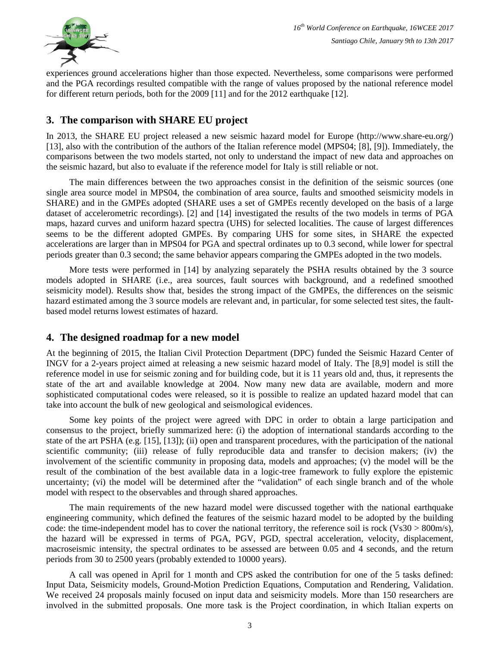

experiences ground accelerations higher than those expected. Nevertheless, some comparisons were performed and the PGA recordings resulted compatible with the range of values proposed by the national reference model for different return periods, both for the 2009 [11] and for the 2012 earthquake [12].

# **3. The comparison with SHARE EU project**

In 2013, the SHARE EU project released a new seismic hazard model for Europe (http://www.share-eu.org/) [13], also with the contribution of the authors of the Italian reference model (MPS04; [8], [9]). Immediately, the comparisons between the two models started, not only to understand the impact of new data and approaches on the seismic hazard, but also to evaluate if the reference model for Italy is still reliable or not.

The main differences between the two approaches consist in the definition of the seismic sources (one single area source model in MPS04, the combination of area source, faults and smoothed seismicity models in SHARE) and in the GMPEs adopted (SHARE uses a set of GMPEs recently developed on the basis of a large dataset of accelerometric recordings). [2] and [14] investigated the results of the two models in terms of PGA maps, hazard curves and uniform hazard spectra (UHS) for selected localities. The cause of largest differences seems to be the different adopted GMPEs. By comparing UHS for some sites, in SHARE the expected accelerations are larger than in MPS04 for PGA and spectral ordinates up to 0.3 second, while lower for spectral periods greater than 0.3 second; the same behavior appears comparing the GMPEs adopted in the two models.

More tests were performed in [14] by analyzing separately the PSHA results obtained by the 3 source models adopted in SHARE (i.e., area sources, fault sources with background, and a redefined smoothed seismicity model). Results show that, besides the strong impact of the GMPEs, the differences on the seismic hazard estimated among the 3 source models are relevant and, in particular, for some selected test sites, the faultbased model returns lowest estimates of hazard.

### **4. The designed roadmap for a new model**

At the beginning of 2015, the Italian Civil Protection Department (DPC) funded the Seismic Hazard Center of INGV for a 2-years project aimed at releasing a new seismic hazard model of Italy. The [8,9] model is still the reference model in use for seismic zoning and for building code, but it is 11 years old and, thus, it represents the state of the art and available knowledge at 2004. Now many new data are available, modern and more sophisticated computational codes were released, so it is possible to realize an updated hazard model that can take into account the bulk of new geological and seismological evidences.

Some key points of the project were agreed with DPC in order to obtain a large participation and consensus to the project, briefly summarized here: (i) the adoption of international standards according to the state of the art PSHA (e.g. [15], [13]); (ii) open and transparent procedures, with the participation of the national scientific community; (iii) release of fully reproducible data and transfer to decision makers; (iv) the involvement of the scientific community in proposing data, models and approaches; (v) the model will be the result of the combination of the best available data in a logic-tree framework to fully explore the epistemic uncertainty; (vi) the model will be determined after the "validation" of each single branch and of the whole model with respect to the observables and through shared approaches.

The main requirements of the new hazard model were discussed together with the national earthquake engineering community, which defined the features of the seismic hazard model to be adopted by the building code: the time-independent model has to cover the national territory, the reference soil is rock (Vs30  $> 800$ m/s), the hazard will be expressed in terms of PGA, PGV, PGD, spectral acceleration, velocity, displacement, macroseismic intensity, the spectral ordinates to be assessed are between 0.05 and 4 seconds, and the return periods from 30 to 2500 years (probably extended to 10000 years).

A call was opened in April for 1 month and CPS asked the contribution for one of the 5 tasks defined: Input Data, Seismicity models, Ground-Motion Prediction Equations, Computation and Rendering, Validation. We received 24 proposals mainly focused on input data and seismicity models. More than 150 researchers are involved in the submitted proposals. One more task is the Project coordination, in which Italian experts on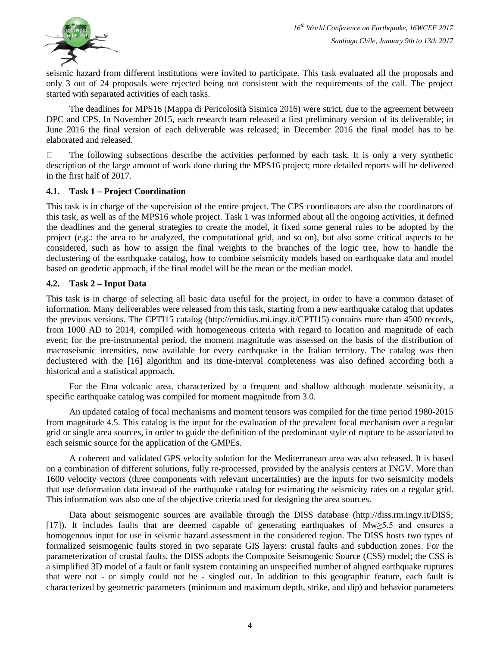

seismic hazard from different institutions were invited to participate. This task evaluated all the proposals and only 3 out of 24 proposals were rejected being not consistent with the requirements of the call. The project started with separated activities of each tasks.

The deadlines for MPS16 (Mappa di Pericolosità Sismica 2016) were strict, due to the agreement between DPC and CPS. In November 2015, each research team released a first preliminary version of its deliverable; in June 2016 the final version of each deliverable was released; in December 2016 the final model has to be elaborated and released.

 $\Box$  The following subsections describe the activities performed by each task. It is only a very synthetic description of the large amount of work done during the MPS16 project; more detailed reports will be delivered in the first half of 2017.

#### **4.1. Task 1 – Project Coordination**

This task is in charge of the supervision of the entire project. The CPS coordinators are also the coordinators of this task, as well as of the MPS16 whole project. Task 1 was informed about all the ongoing activities, it defined the deadlines and the general strategies to create the model, it fixed some general rules to be adopted by the project (e.g.: the area to be analyzed, the computational grid, and so on), but also some critical aspects to be considered, such as how to assign the final weights to the branches of the logic tree, how to handle the declustering of the earthquake catalog, how to combine seismicity models based on earthquake data and model based on geodetic approach, if the final model will be the mean or the median model.

#### **4.2. Task 2 – Input Data**

This task is in charge of selecting all basic data useful for the project, in order to have a common dataset of information. Many deliverables were released from this task, starting from a new earthquake catalog that updates the previous versions. The CPTI15 catalog (http://emidius.mi.ingv.it/CPTI15) contains more than 4500 records, from 1000 AD to 2014, compiled with homogeneous criteria with regard to location and magnitude of each event; for the pre-instrumental period, the moment magnitude was assessed on the basis of the distribution of macroseismic intensities, now available for every earthquake in the Italian territory. The catalog was then declustered with the [16] algorithm and its time-interval completeness was also defined according both a historical and a statistical approach.

For the Etna volcanic area, characterized by a frequent and shallow although moderate seismicity, a specific earthquake catalog was compiled for moment magnitude from 3.0.

An updated catalog of focal mechanisms and moment tensors was compiled for the time period 1980-2015 from magnitude 4.5. This catalog is the input for the evaluation of the prevalent focal mechanism over a regular grid or single area sources, in order to guide the definition of the predominant style of rupture to be associated to each seismic source for the application of the GMPEs.

A coherent and validated GPS velocity solution for the Mediterranean area was also released. It is based on a combination of different solutions, fully re-processed, provided by the analysis centers at INGV. More than 1600 velocity vectors (three components with relevant uncertainties) are the inputs for two seismicity models that use deformation data instead of the earthquake catalog for estimating the seismicity rates on a regular grid. This information was also one of the objective criteria used for designing the area sources.

Data about seismogenic sources are available through the DISS database (http://diss.rm.ingv.it/DISS; [17]). It includes faults that are deemed capable of generating earthquakes of Mw≥5.5 and ensures a homogenous input for use in seismic hazard assessment in the considered region. The DISS hosts two types of formalized seismogenic faults stored in two separate GIS layers: crustal faults and subduction zones. For the parameterization of crustal faults, the DISS adopts the Composite Seismogenic Source (CSS) model; the CSS is a simplified 3D model of a fault or fault system containing an unspecified number of aligned earthquake ruptures that were not - or simply could not be - singled out. In addition to this geographic feature, each fault is characterized by geometric parameters (minimum and maximum depth, strike, and dip) and behavior parameters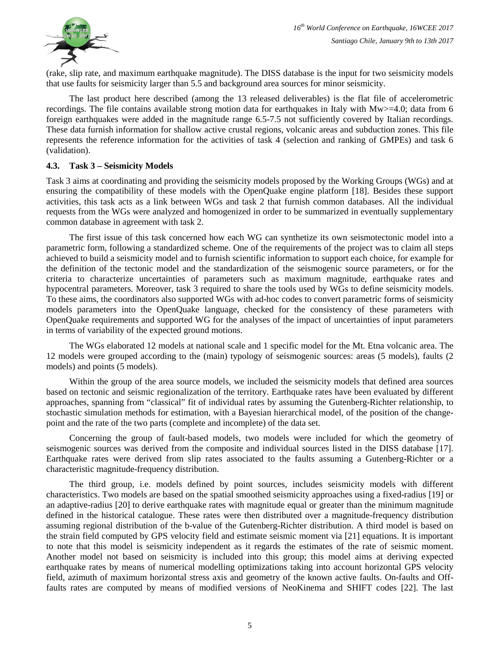

(rake, slip rate, and maximum earthquake magnitude). The DISS database is the input for two seismicity models that use faults for seismicity larger than 5.5 and background area sources for minor seismicity.

The last product here described (among the 13 released deliverables) is the flat file of accelerometric recordings. The file contains available strong motion data for earthquakes in Italy with  $Mw>=4.0$ ; data from 6 foreign earthquakes were added in the magnitude range 6.5-7.5 not sufficiently covered by Italian recordings. These data furnish information for shallow active crustal regions, volcanic areas and subduction zones. This file represents the reference information for the activities of task 4 (selection and ranking of GMPEs) and task 6 (validation).

#### **4.3. Task 3 – Seismicity Models**

Task 3 aims at coordinating and providing the seismicity models proposed by the Working Groups (WGs) and at ensuring the compatibility of these models with the OpenQuake engine platform [18]. Besides these support activities, this task acts as a link between WGs and task 2 that furnish common databases. All the individual requests from the WGs were analyzed and homogenized in order to be summarized in eventually supplementary common database in agreement with task 2.

The first issue of this task concerned how each WG can synthetize its own seismotectonic model into a parametric form, following a standardized scheme. One of the requirements of the project was to claim all steps achieved to build a seismicity model and to furnish scientific information to support each choice, for example for the definition of the tectonic model and the standardization of the seismogenic source parameters, or for the criteria to characterize uncertainties of parameters such as maximum magnitude, earthquake rates and hypocentral parameters. Moreover, task 3 required to share the tools used by WGs to define seismicity models. To these aims, the coordinators also supported WGs with ad-hoc codes to convert parametric forms of seismicity models parameters into the OpenQuake language, checked for the consistency of these parameters with OpenQuake requirements and supported WG for the analyses of the impact of uncertainties of input parameters in terms of variability of the expected ground motions.

The WGs elaborated 12 models at national scale and 1 specific model for the Mt. Etna volcanic area. The 12 models were grouped according to the (main) typology of seismogenic sources: areas (5 models), faults (2 models) and points (5 models).

Within the group of the area source models, we included the seismicity models that defined area sources based on tectonic and seismic regionalization of the territory. Earthquake rates have been evaluated by different approaches, spanning from "classical" fit of individual rates by assuming the Gutenberg-Richter relationship, to stochastic simulation methods for estimation, with a Bayesian hierarchical model, of the position of the changepoint and the rate of the two parts (complete and incomplete) of the data set.

Concerning the group of fault-based models, two models were included for which the geometry of seismogenic sources was derived from the composite and individual sources listed in the DISS database [17]. Earthquake rates were derived from slip rates associated to the faults assuming a Gutenberg-Richter or a characteristic magnitude-frequency distribution.

The third group, i.e. models defined by point sources, includes seismicity models with different characteristics. Two models are based on the spatial smoothed seismicity approaches using a fixed-radius [19] or an adaptive-radius [20] to derive earthquake rates with magnitude equal or greater than the minimum magnitude defined in the historical catalogue. These rates were then distributed over a magnitude-frequency distribution assuming regional distribution of the b-value of the Gutenberg-Richter distribution. A third model is based on the strain field computed by GPS velocity field and estimate seismic moment via [21] equations. It is important to note that this model is seismicity independent as it regards the estimates of the rate of seismic moment. Another model not based on seismicity is included into this group; this model aims at deriving expected earthquake rates by means of numerical modelling optimizations taking into account horizontal GPS velocity field, azimuth of maximum horizontal stress axis and geometry of the known active faults. On-faults and Offfaults rates are computed by means of modified versions of NeoKinema and SHIFT codes [22]. The last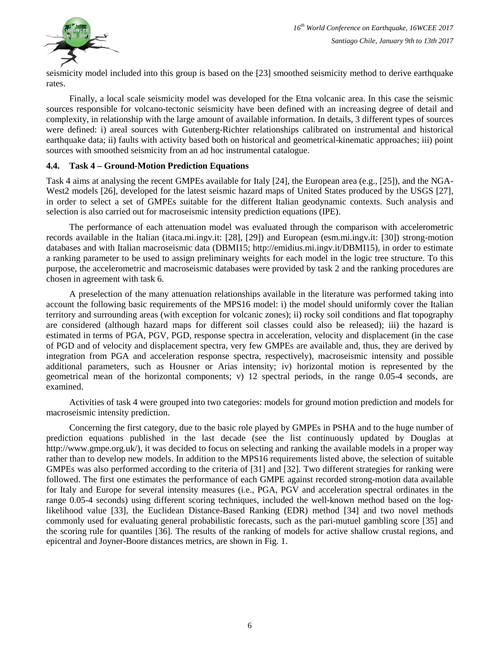

seismicity model included into this group is based on the [23] smoothed seismicity method to derive earthquake rates.

Finally, a local scale seismicity model was developed for the Etna volcanic area. In this case the seismic sources responsible for volcano-tectonic seismicity have been defined with an increasing degree of detail and complexity, in relationship with the large amount of available information. In details, 3 different types of sources were defined: i) areal sources with Gutenberg-Richter relationships calibrated on instrumental and historical earthquake data; ii) faults with activity based both on historical and geometrical-kinematic approaches; iii) point sources with smoothed seismicity from an ad hoc instrumental catalogue.

#### **4.4. Task 4 – Ground-Motion Prediction Equations**

Task 4 aims at analysing the recent GMPEs available for Italy [24], the European area (e.g., [25]), and the NGA-West2 models [26], developed for the latest seismic hazard maps of United States produced by the USGS [27], in order to select a set of GMPEs suitable for the different Italian geodynamic contexts. Such analysis and selection is also carried out for macroseismic intensity prediction equations (IPE).

The performance of each attenuation model was evaluated through the comparison with accelerometric records available in the Italian (itaca.mi.ingv.it: [28], [29]) and European (esm.mi.ingv.it: [30]) strong-motion databases and with Italian macroseismic data (DBMI15; http://emidius.mi.ingv.it/DBMI15), in order to estimate a ranking parameter to be used to assign preliminary weights for each model in the logic tree structure. To this purpose, the accelerometric and macroseismic databases were provided by task 2 and the ranking procedures are chosen in agreement with task 6.

A preselection of the many attenuation relationships available in the literature was performed taking into account the following basic requirements of the MPS16 model: i) the model should uniformly cover the Italian territory and surrounding areas (with exception for volcanic zones); ii) rocky soil conditions and flat topography are considered (although hazard maps for different soil classes could also be released); iii) the hazard is estimated in terms of PGA, PGV, PGD, response spectra in acceleration, velocity and displacement (in the case of PGD and of velocity and displacement spectra, very few GMPEs are available and, thus, they are derived by integration from PGA and acceleration response spectra, respectively), macroseismic intensity and possible additional parameters, such as Housner or Arias intensity; iv) horizontal motion is represented by the geometrical mean of the horizontal components; v) 12 spectral periods, in the range 0.05-4 seconds, are examined.

Activities of task 4 were grouped into two categories: models for ground motion prediction and models for macroseismic intensity prediction.

Concerning the first category, due to the basic role played by GMPEs in PSHA and to the huge number of prediction equations published in the last decade (see the list continuously updated by Douglas at [http://www.gmpe.org.uk/\)](http://www.gmpe.org.uk/), it was decided to focus on selecting and ranking the available models in a proper way rather than to develop new models. In addition to the MPS16 requirements listed above, the selection of suitable GMPEs was also performed according to the criteria of [31] and [32]. Two different strategies for ranking were followed. The first one estimates the performance of each GMPE against recorded strong-motion data available for Italy and Europe for several intensity measures (i.e., PGA, PGV and acceleration spectral ordinates in the range 0.05-4 seconds) using different scoring techniques, included the well-known method based on the loglikelihood value [33], the Euclidean Distance-Based Ranking (EDR) method [34] and two novel methods commonly used for evaluating general probabilistic forecasts, such as the pari-mutuel gambling score [35] and the scoring rule for quantiles [36]. The results of the ranking of models for active shallow crustal regions, and epicentral and Joyner-Boore distances metrics, are shown in Fig. 1.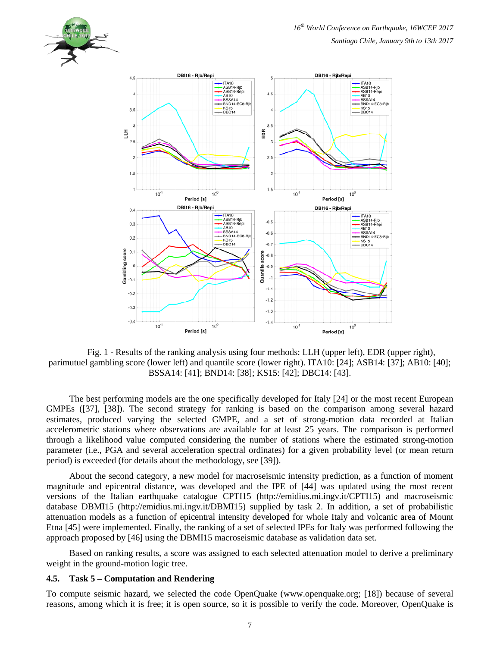

Fig. 1 - Results of the ranking analysis using four methods: LLH (upper left), EDR (upper right), parimutuel gambling score (lower left) and quantile score (lower right). ITA10: [24]; ASB14: [37]; AB10: [40]; BSSA14: [41]; BND14: [38]; KS15: [42]; DBC14: [43].

The best performing models are the one specifically developed for Italy [24] or the most recent European GMPEs ([37], [38]). The second strategy for ranking is based on the comparison among several hazard estimates, produced varying the selected GMPE, and a set of strong-motion data recorded at Italian accelerometric stations where observations are available for at least 25 years. The comparison is performed through a likelihood value computed considering the number of stations where the estimated strong-motion parameter (i.e., PGA and several acceleration spectral ordinates) for a given probability level (or mean return period) is exceeded (for details about the methodology, see [39]).

About the second category, a new model for macroseismic intensity prediction, as a function of moment magnitude and epicentral distance, was developed and the IPE of [44] was updated using the most recent versions of the Italian earthquake catalogue CPTI15 (http://emidius.mi.ingv.it/CPTI15) and macroseismic database DBMI15 (http://emidius.mi.ingv.it/DBMI15) supplied by task 2. In addition, a set of probabilistic attenuation models as a function of epicentral intensity developed for whole Italy and volcanic area of Mount Etna [45] were implemented. Finally, the ranking of a set of selected IPEs for Italy was performed following the approach proposed by [46] using the DBMI15 macroseismic database as validation data set.

Based on ranking results, a score was assigned to each selected attenuation model to derive a preliminary weight in the ground-motion logic tree.

#### **4.5. Task 5 – Computation and Rendering**

To compute seismic hazard, we selected the code OpenQuake (www.openquake.org; [18]) because of several reasons, among which it is free; it is open source, so it is possible to verify the code. Moreover, OpenQuake is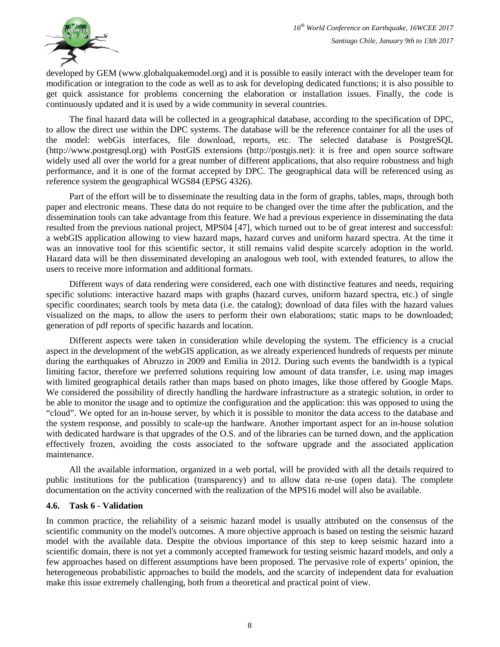

developed by GEM (www.globalquakemodel.org) and it is possible to easily interact with the developer team for modification or integration to the code as well as to ask for developing dedicated functions; it is also possible to get quick assistance for problems concerning the elaboration or installation issues. Finally, the code is continuously updated and it is used by a wide community in several countries.

The final hazard data will be collected in a geographical database, according to the specification of DPC, to allow the direct use within the DPC systems. The database will be the reference container for all the uses of the model: webGis interfaces, file download, reports, etc. The selected database is PostgreSQL (http://www.postgresql.org) with PostGIS extensions (http://postgis.net): it is free and open source software widely used all over the world for a great number of different applications, that also require robustness and high performance, and it is one of the format accepted by DPC. The geographical data will be referenced using as reference system the geographical WGS84 (EPSG 4326).

Part of the effort will be to disseminate the resulting data in the form of graphs, tables, maps, through both paper and electronic means. These data do not require to be changed over the time after the publication, and the dissemination tools can take advantage from this feature. We had a previous experience in disseminating the data resulted from the previous national project, MPS04 [47], which turned out to be of great interest and successful: a webGIS application allowing to view hazard maps, hazard curves and uniform hazard spectra. At the time it was an innovative tool for this scientific sector, it still remains valid despite scarcely adoption in the world. Hazard data will be then disseminated developing an analogous web tool, with extended features, to allow the users to receive more information and additional formats.

Different ways of data rendering were considered, each one with distinctive features and needs, requiring specific solutions: interactive hazard maps with graphs (hazard curves, uniform hazard spectra, etc.) of single specific coordinates; search tools by meta data (i.e. the catalog); download of data files with the hazard values visualized on the maps, to allow the users to perform their own elaborations; static maps to be downloaded; generation of pdf reports of specific hazards and location.

Different aspects were taken in consideration while developing the system. The efficiency is a crucial aspect in the development of the webGIS application, as we already experienced hundreds of requests per minute during the earthquakes of Abruzzo in 2009 and Emilia in 2012. During such events the bandwidth is a typical limiting factor, therefore we preferred solutions requiring low amount of data transfer, i.e. using map images with limited geographical details rather than maps based on photo images, like those offered by Google Maps. We considered the possibility of directly handling the hardware infrastructure as a strategic solution, in order to be able to monitor the usage and to optimize the configuration and the application: this was opposed to using the "cloud". We opted for an in-house server, by which it is possible to monitor the data access to the database and the system response, and possibly to scale-up the hardware. Another important aspect for an in-house solution with dedicated hardware is that upgrades of the O.S. and of the libraries can be turned down, and the application effectively frozen, avoiding the costs associated to the software upgrade and the associated application maintenance.

All the available information, organized in a web portal, will be provided with all the details required to public institutions for the publication (transparency) and to allow data re-use (open data). The complete documentation on the activity concerned with the realization of the MPS16 model will also be available.

#### **4.6. Task 6 - Validation**

In common practice, the reliability of a seismic hazard model is usually attributed on the consensus of the scientific community on the model's outcomes. A more objective approach is based on testing the seismic hazard model with the available data. Despite the obvious importance of this step to keep seismic hazard into a scientific domain, there is not yet a commonly accepted framework for testing seismic hazard models, and only a few approaches based on different assumptions have been proposed. The pervasive role of experts' opinion, the heterogeneous probabilistic approaches to build the models, and the scarcity of independent data for evaluation make this issue extremely challenging, both from a theoretical and practical point of view.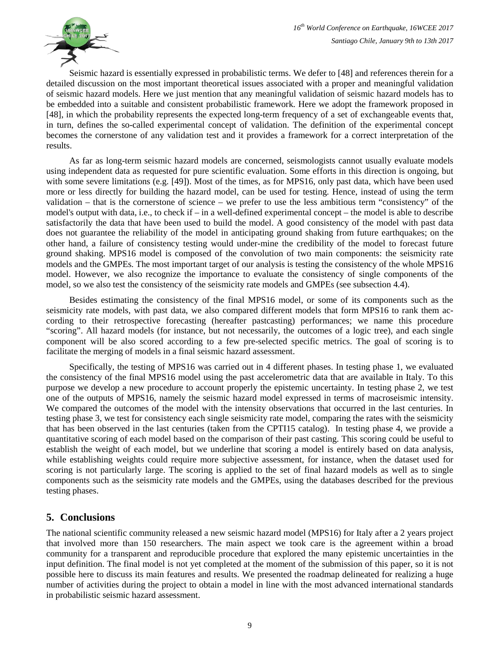

Seismic hazard is essentially expressed in probabilistic terms. We defer to [48] and references therein for a detailed discussion on the most important theoretical issues associated with a proper and meaningful validation of seismic hazard models. Here we just mention that any meaningful validation of seismic hazard models has to be embedded into a suitable and consistent probabilistic framework. Here we adopt the framework proposed in [48], in which the probability represents the expected long-term frequency of a set of exchangeable events that, in turn, defines the so-called experimental concept of validation. The definition of the experimental concept becomes the cornerstone of any validation test and it provides a framework for a correct interpretation of the results.

As far as long-term seismic hazard models are concerned, seismologists cannot usually evaluate models using independent data as requested for pure scientific evaluation. Some efforts in this direction is ongoing, but with some severe limitations (e.g. [49]). Most of the times, as for MPS16, only past data, which have been used more or less directly for building the hazard model, can be used for testing. Hence, instead of using the term validation – that is the cornerstone of science – we prefer to use the less ambitious term "consistency" of the model's output with data, i.e., to check if – in a well-defined experimental concept – the model is able to describe satisfactorily the data that have been used to build the model. A good consistency of the model with past data does not guarantee the reliability of the model in anticipating ground shaking from future earthquakes; on the other hand, a failure of consistency testing would under-mine the credibility of the model to forecast future ground shaking. MPS16 model is composed of the convolution of two main components: the seismicity rate models and the GMPEs. The most important target of our analysis is testing the consistency of the whole MPS16 model. However, we also recognize the importance to evaluate the consistency of single components of the model, so we also test the consistency of the seismicity rate models and GMPEs (see subsection 4.4).

Besides estimating the consistency of the final MPS16 model, or some of its components such as the seismicity rate models, with past data, we also compared different models that form MPS16 to rank them according to their retrospective forecasting (hereafter pastcasting) performances; we name this procedure "scoring". All hazard models (for instance, but not necessarily, the outcomes of a logic tree), and each single component will be also scored according to a few pre-selected specific metrics. The goal of scoring is to facilitate the merging of models in a final seismic hazard assessment.

Specifically, the testing of MPS16 was carried out in 4 different phases. In testing phase 1, we evaluated the consistency of the final MPS16 model using the past accelerometric data that are available in Italy. To this purpose we develop a new procedure to account properly the epistemic uncertainty. In testing phase 2, we test one of the outputs of MPS16, namely the seismic hazard model expressed in terms of macroseismic intensity. We compared the outcomes of the model with the intensity observations that occurred in the last centuries. In testing phase 3, we test for consistency each single seismicity rate model, comparing the rates with the seismicity that has been observed in the last centuries (taken from the CPTI15 catalog). In testing phase 4, we provide a quantitative scoring of each model based on the comparison of their past casting. This scoring could be useful to establish the weight of each model, but we underline that scoring a model is entirely based on data analysis, while establishing weights could require more subjective assessment, for instance, when the dataset used for scoring is not particularly large. The scoring is applied to the set of final hazard models as well as to single components such as the seismicity rate models and the GMPEs, using the databases described for the previous testing phases.

# **5. Conclusions**

The national scientific community released a new seismic hazard model (MPS16) for Italy after a 2 years project that involved more than 150 researchers. The main aspect we took care is the agreement within a broad community for a transparent and reproducible procedure that explored the many epistemic uncertainties in the input definition. The final model is not yet completed at the moment of the submission of this paper, so it is not possible here to discuss its main features and results. We presented the roadmap delineated for realizing a huge number of activities during the project to obtain a model in line with the most advanced international standards in probabilistic seismic hazard assessment.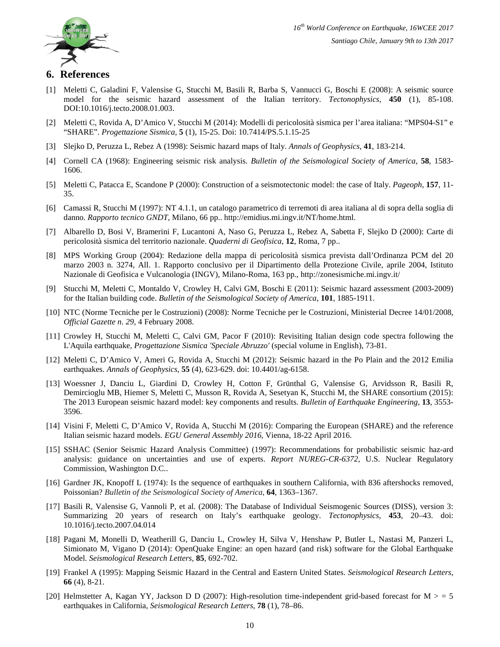# **6. References**

- [1] Meletti C, Galadini F, Valensise G, Stucchi M, Basili R, Barba S, Vannucci G, Boschi E (2008): A seismic source model for the seismic hazard assessment of the Italian territory. *Tectonophysics*, **450** (1), 85-108. DOI:10.1016/j.tecto.2008.01.003.
- [2] Meletti C, Rovida A, D'Amico V, Stucchi M (2014): Modelli di pericolosità sismica per l'area italiana: "MPS04-S1" e "SHARE". *Progettazione Sismica*, **5** (1), 15-25. Doi: 10.7414/PS.5.1.15-25
- [3] Slejko D, Peruzza L, Rebez A (1998): Seismic hazard maps of Italy. *Annals of Geophysics*, **41**, 183-214.
- [4] Cornell CA (1968): Engineering seismic risk analysis. *Bulletin of the Seismological Society of America*, **58**, 1583- 1606.
- [5] Meletti C, Patacca E, Scandone P (2000): Construction of a seismotectonic model: the case of Italy. *Pageoph*, **157**, 11- 35.
- [6] Camassi R, Stucchi M (1997): NT 4.1.1, un catalogo parametrico di terremoti di area italiana al di sopra della soglia di danno. *Rapporto tecnico GNDT*, Milano, 66 pp.. http://emidius.mi.ingv.it/NT/home.html.
- [7] Albarello D, Bosi V, Bramerini F, Lucantoni A, Naso G, Peruzza L, Rebez A, Sabetta F, Slejko D (2000): Carte di pericolosità sismica del territorio nazionale. *Quaderni di Geofisica*, **12**, Roma, 7 pp..
- [8] MPS Working Group (2004): Redazione della mappa di pericolosità sismica prevista dall'Ordinanza PCM del 20 marzo 2003 n. 3274, All. 1. Rapporto conclusivo per il Dipartimento della Protezione Civile, aprile 2004, Istituto Nazionale di Geofisica e Vulcanologia (INGV), Milano-Roma, 163 pp., http://zonesismiche.mi.ingv.it/
- [9] Stucchi M, Meletti C, Montaldo V, Crowley H, Calvi GM, Boschi E (2011): Seismic hazard assessment (2003-2009) for the Italian building code. *Bulletin of the Seismological Society of America*, **101**, 1885-1911.
- [10] NTC (Norme Tecniche per le Costruzioni) (2008): Norme Tecniche per le Costruzioni, Ministerial Decree 14/01/2008, *Official Gazette n. 29*, 4 February 2008.
- [11] Crowley H, Stucchi M, Meletti C, Calvi GM, Pacor F (2010): Revisiting Italian design code spectra following the L'Aquila earthquake, *Progettazione Sismica 'Speciale Abruzzo'* (special volume in English), 73-81.
- [12] Meletti C, D'Amico V, Ameri G, Rovida A, Stucchi M (2012): Seismic hazard in the Po Plain and the 2012 Emilia earthquakes. *Annals of Geophysics*, **55** (4), 623-629. doi: 10.4401/ag-6158.
- [13] Woessner J, Danciu L, Giardini D, Crowley H, Cotton F, Grünthal G, Valensise G, Arvidsson R, Basili R, Demircioglu MB, Hiemer S, Meletti C, Musson R, Rovida A, Sesetyan K, Stucchi M, the SHARE consortium (2015): The 2013 European seismic hazard model: key components and results. *Bulletin of Earthquake Engineering*, **13**, 3553- 3596.
- [14] Visini F, Meletti C, D'Amico V, Rovida A, Stucchi M (2016): Comparing the European (SHARE) and the reference Italian seismic hazard models. *EGU General Assembly 2016*, Vienna, 18-22 April 2016.
- [15] SSHAC (Senior Seismic Hazard Analysis Committee) (1997): Recommendations for probabilistic seismic haz-ard analysis: guidance on uncertainties and use of experts. *Report NUREG-CR-6372*, U.S. Nuclear Regulatory Commission, Washington D.C..
- [16] Gardner JK, Knopoff L (1974): Is the sequence of earthquakes in southern California, with 836 aftershocks removed, Poissonian? *Bulletin of the Seismological Society of America*, **64**, 1363–1367.
- [17] Basili R, Valensise G, Vannoli P, et al. (2008): The Database of Individual Seismogenic Sources (DISS), version 3: Summarizing 20 years of research on Italy's earthquake geology. *Tectonophysics*, **453**, 20–43. doi: 10.1016/j.tecto.2007.04.014
- [18] Pagani M, Monelli D, Weatherill G, Danciu L, Crowley H, Silva V, Henshaw P, Butler L, Nastasi M, Panzeri L, Simionato M, Vigano D (2014): OpenQuake Engine: an open hazard (and risk) software for the Global Earthquake Model. *Seismological Research Letters,* **85**, 692-702.
- [19] Frankel A (1995): Mapping Seismic Hazard in the Central and Eastern United States. *Seismological Research Letters*, **66** (4), 8-21.
- [20] Helmstetter A, Kagan YY, Jackson D D (2007): High-resolution time-independent grid-based forecast for  $M > 5$ earthquakes in California, *Seismological Research Letters*, **78** (1), 78–86.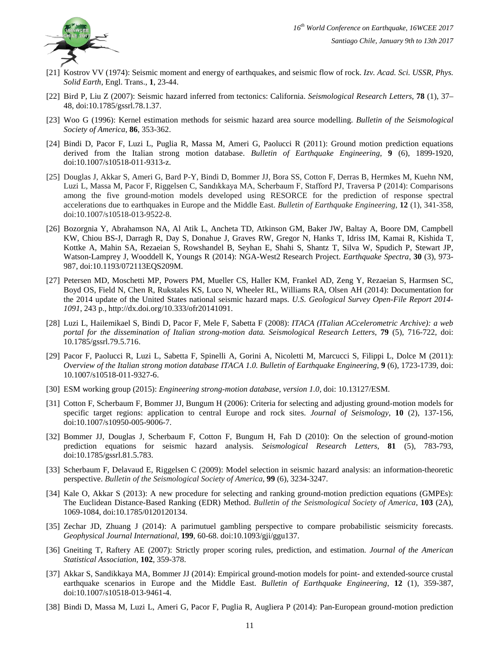

- [21] Kostrov VV (1974): Seismic moment and energy of earthquakes, and seismic flow of rock. *Izv. Acad. Sci. USSR, Phys. Solid Earth*, Engl. Trans., **1**, 23-44.
- [22] Bird P, Liu Z (2007): Seismic hazard inferred from tectonics: California. *Seismological Research Letters*, **78** (1), 37– 48, doi:10.1785/gssrl.78.1.37.
- [23] Woo G (1996): Kernel estimation methods for seismic hazard area source modelling. *Bulletin of the Seismological Society of America*, **86**, 353-362.
- [24] Bindi D, Pacor F, Luzi L, Puglia R, Massa M, Ameri G, Paolucci R (2011): Ground motion prediction equations derived from the Italian strong motion database. *Bulletin of Earthquake Engineering*, **9** (6), 1899-1920, doi:10.1007/s10518-011-9313-z.
- [25] Douglas J, Akkar S, Ameri G, Bard P-Y, Bindi D, Bommer JJ, Bora SS, Cotton F, Derras B, Hermkes M, Kuehn NM, Luzi L, Massa M, Pacor F, Riggelsen C, Sandıkkaya MA, Scherbaum F, Stafford PJ, Traversa P (2014): Comparisons among the five ground-motion models developed using RESORCE for the prediction of response spectral accelerations due to earthquakes in Europe and the Middle East. *Bulletin of Earthquake Engineering*, **12** (1), 341-358, doi:10.1007/s10518-013-9522-8.
- [26] Bozorgnia Y, Abrahamson NA, Al Atik L, Ancheta TD, Atkinson GM, Baker JW, Baltay A, Boore DM, Campbell KW, Chiou BS-J, Darragh R, Day S, Donahue J, Graves RW, Gregor N, Hanks T, Idriss IM, Kamai R, Kishida T, Kottke A, Mahin SA, Rezaeian S, Rowshandel B, Seyhan E, Shahi S, Shantz T, Silva W, Spudich P, Stewart JP, Watson-Lamprey J, Wooddell K, Youngs R (2014): NGA-West2 Research Project. *Earthquake Spectra*, **30** (3), 973- 987, doi:10.1193/072113EQS209M.
- [27] Petersen MD, Moschetti MP, Powers PM, Mueller CS, Haller KM, Frankel AD, Zeng Y, Rezaeian S, Harmsen SC, Boyd OS, Field N, Chen R, Rukstales KS, Luco N, Wheeler RL, Williams RA, Olsen AH (2014): Documentation for the 2014 update of the United States national seismic hazard maps. *U.S. Geological Survey Open-File Report 2014- 1091*, 243 p., [http://dx.doi.org/10.333/ofr20141091.](http://dx.doi.org/10.333/ofr20141091)
- [28] Luzi L, Hailemikael S, Bindi D, Pacor F, Mele F, Sabetta F (2008): *ITACA (ITalian ACcelerometric Archive): a web portal for the dissemination of Italian strong-motion data. Seismological Research Letters*, **79** (5), 716-722, doi: 10.1785/gssrl.79.5.716.
- [29] Pacor F, Paolucci R, Luzi L, Sabetta F, Spinelli A, Gorini A, Nicoletti M, Marcucci S, Filippi L, Dolce M (2011): *Overview of the Italian strong motion database ITACA 1.0. Bulletin of Earthquake Engineering*, **9** (6), 1723-1739, doi: 10.1007/s10518-011-9327-6.
- [30] ESM working group (2015): *Engineering strong-motion database, version 1.0,* doi: 10.13127/ESM.
- [31] Cotton F, Scherbaum F, Bommer JJ, Bungum H (2006): Criteria for selecting and adjusting ground-motion models for specific target regions: application to central Europe and rock sites. *Journal of Seismology*, **10** (2), 137-156, doi:10.1007/s10950-005-9006-7.
- [32] Bommer JJ, Douglas J, Scherbaum F, Cotton F, Bungum H, Fah D (2010): On the selection of ground-motion prediction equations for seismic hazard analysis. *Seismological Research Letters*, **81** (5), 783-793, doi:10.1785/gssrl.81.5.783.
- [33] Scherbaum F, Delavaud E, Riggelsen C (2009): Model selection in seismic hazard analysis: an information-theoretic perspective. *Bulletin of the Seismological Society of America*, **99** (6), 3234-3247.
- [34] Kale O, Akkar S (2013): A new procedure for selecting and ranking ground-motion prediction equations (GMPEs): The Euclidean Distance-Based Ranking (EDR) Method. *Bulletin of the Seismological Society of America*, **103** (2A), 1069-1084, doi:10.1785/0120120134.
- [35] Zechar JD, Zhuang J (2014): A parimutuel gambling perspective to compare probabilistic seismicity forecasts. *Geophysical Journal International*, **199**, 60-68. doi:10.1093/gji/ggu137.
- [36] Gneiting T, Raftery AE (2007): Strictly proper scoring rules, prediction, and estimation. *Journal of the American Statistical Association*, **102**, 359-378.
- [37] Akkar S, Sandikkaya MA, Bommer JJ (2014): Empirical ground-motion models for point- and extended-source crustal earthquake scenarios in Europe and the Middle East. *Bulletin of Earthquake Engineering*, **12** (1), 359-387, doi:10.1007/s10518-013-9461-4.
- [38] Bindi D, Massa M, Luzi L, Ameri G, Pacor F, Puglia R, Augliera P (2014): Pan-European ground-motion prediction